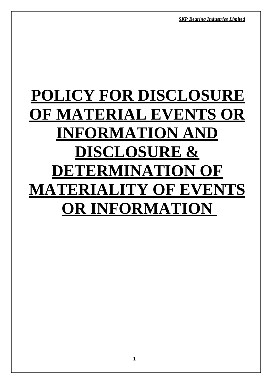# **POLICY FOR DISCLOSURE OF MATERIAL EVENTS OR INFORMATION AND DISCLOSURE & DETERMINATION OF MATERIALITY OF EVENTS OR INFORMATION**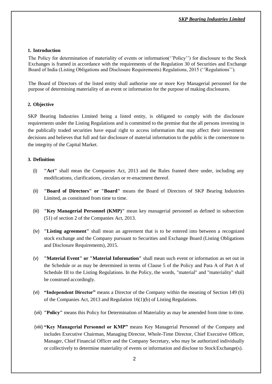## **1. Introduction**

The Policy for determination of materiality of events or information(''Policy'') for disclosure to the Stock Exchanges is framed in accordance with the requirements of the Regulation 30 of Securities and Exchange Board of India (Listing Obligations and Disclosure Requirements) Regulations, 2015 (''Regulations'').

The Board of Directors of the listed entity shall authorise one or more Key Managerial personnel for the purpose of determining materiality of an event or information for the purpose of making disclosures.

### **2. Objective**

SKP Bearing Industries Limited being a listed entity, is obligated to comply with the disclosure requirements under the Listing Regulations and is committed to the premise that the all persons investing in the publically traded securities have equal right to access information that may affect their investment decisions and believes that full and fair disclosure of material information to the public is the cornerstone to the integrity of the Capital Market.

### **3. Definition**

- (i) **"Act"** shall mean the Companies Act, 2013 and the Rules framed there under, including any modifications, clarifications, circulars or re-enactment thereof.
- (ii) **"Board of Directors" or "Board"** means the Board of Directors of SKP Bearing Industries Limited, as constituted from time to time.
- (iii) **"Key Managerial Personnel (KMP)"** mean key managerial personnel as defined in subsection (51) of section 2 of the Companies Act, 2013.
- (iv) **"Listing agreement"** shall mean an agreement that is to be entered into between a recognized stock exchange and the Company pursuant to Securities and Exchange Board (Listing Obligations and Disclosure Requirements), 2015.
- (v) **"Material Event" or "Material Information"** shall mean such event or information as set out in the Schedule or as may be determined in terms of Clause 5 of the Policy and Para A of Part A of Schedule III to the Listing Regulations. In the Policy, the words, "material" and "materiality" shall be construed accordingly.
- (vi) **"Independent Director"** means a Director of the Company within the meaning of Section 149 (6) of the Companies Act, 2013 and Regulation 16(1)(b) of Listing Regulations.
- (vii) **"Policy"** means this Policy for Determination of Materiality as may be amended from time to time.
- (viii) **"Key Managerial Personnel or KMP"** means Key Managerial Personnel of the Company and includes Executive Chairman, Managing Director, Whole-Time Director, Chief Executive Officer, Manager, Chief Financial Officer and the Company Secretary, who may be authorized individually or collectively to determine materiality of events or information and disclose to StockExchange(s).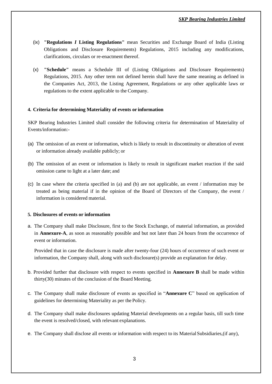- (ix) **"Regulations** *I* **Listing Regulations"** mean Securities and Exchange Board of India (Listing Obligations and Disclosure Requirements) Regulations, 2015 including any modifications, clarifications, circulars or re-enactment thereof.
- (x) **"Schedule"** means a Schedule III of (Listing Obligations and Disclosure Requirements) Regulations, 2015. Any other term not defined herein shall have the same meaning as defined in the Companies Act, 2013, the Listing Agreement, Regulations or any other applicable laws or regulations to the extent applicable to the Company.

## **4. Criteria for determining Materiality of events or information**

SKP Bearing Industries Limited shall consider the following criteria for determination of Materiality of Events/information:-

- (a) The omission of an event or information, which is likely to result in discontinuity or alteration of event or information already available publicly; or
- (b) The omission of an event or information is likely to result in significant market reaction if the said omission came to light at a later date; and
- (c) In case where the criteria specified in (a) and (b) are not applicable, an event / information may be treated as being material if in the opinion of the Board of Directors of the Company, the event / information is considered material.

## **5. Disclosures of events or information**

a. The Company shall make Disclosure, first to the Stock Exchange, of material information, as provided in **Annexure-A**, as soon as reasonably possible and but not later than 24 hours from the occurrence of event or information.

Provided that in case the disclosure is made after twenty-four (24) hours of occurrence of such event or information, the Company shall, along with such disclosure(s) provide an explanation for delay.

- b. Provided further that disclosure with respect to events specified in **Annexure B** shall be made within thirty(30) minutes of the conclusion of the Board Meeting.
- c. The Company shall make disclosure of events as specified in "**Annexure C**" based on application of guidelines for determining Materiality as per the Policy.
- d. The Company shall make disclosures updating Material developments on a regular basis, till such time the event is resolved/closed, with relevant explanations.
- e. The Company shall disclose all events or information with respect to its MaterialSubsidiaries,(if any),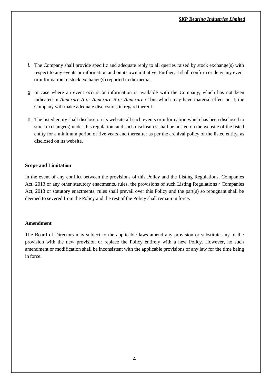- f. The Company shall provide specific and adequate reply to all queries raised by stock exchange(s) with respect to any events or information and on its own initiative. Further, it shall confirm or deny any event or information to stock exchange(s) reported in themedia.
- g. In case where an event occurs or information is available with the Company, which has not been indicated in *Annexure A or Annexure B or Annexure C* but which may have material effect on it, the Company will make adequate disclosures in regard thereof.
- h. The listed entity shall disclose on its website all such events or information which has been disclosed to stock exchange(s) under this regulation, and such disclosures shall be hosted on the website of the listed entity for a minimum period of five years and thereafter as per the archival policy of the listed entity, as disclosed on its website.

## **Scope and Limitation**

In the event of any conflict between the provisions of this Policy and the Listing Regulations, Companies Act, 2013 or any other statutory enactments, rules, the provisions of such Listing Regulations / Companies Act, 2013 or statutory enactments, rules shall prevail over this Policy and the part(s) so repugnant shall be deemed to severed from the Policy and the rest of the Policy shall remain in force.

#### **Amendment**

The Board of Directors may subject to the applicable laws amend any provision or substitute any of the provision with the new provision or replace the Policy entirely with a new Policy. However, no such amendment or modification shall be inconsistent with the applicable provisions of any law for the time being in force.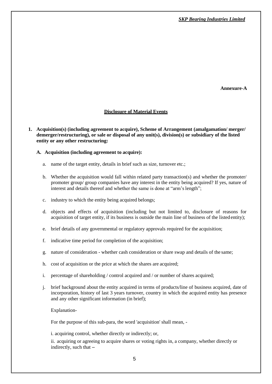**Annexure-A**

### **Disclosure of Material Events**

**1. Acquisition(s) (including agreement to acquire), Scheme of Arrangement (amalgamation/ merger/ demerger/restructuring), or sale or disposal of any unit(s), division(s) or subsidiary of the listed entity or any other restructuring:**

#### **A. Acquisition (including agreement to acquire):**

- a. name of the target entity, details in brief such as size, turnover etc.;
- b. Whether the acquisition would fall within related party transaction(s) and whether the promoter/ promoter group/ group companies have any interest in the entity being acquired? If yes, nature of interest and details thereof and whether the same is done at "arm's length";
- c. industry to which the entity being acquired belongs;
- d. objects and effects of acquisition (including but not limited to, disclosure of reasons for acquisition of target entity, if its business is outside the main line of business of the listedentity);
- e. brief details of any governmental or regulatory approvals required for the acquisition;
- f. indicative time period for completion of the acquisition;
- g. nature of consideration whether cash consideration or share swap and details of the same;
- h. cost of acquisition or the price at which the shares are acquired;
- i. percentage of shareholding / control acquired and / or number of shares acquired;
- j. brief background about the entity acquired in terms of products/line of business acquired, date of incorporation, history of last 3 years turnover, country in which the acquired entity has presence and any other significant information (in brief);

#### Explanation-

For the purpose of this sub-para, the word 'acquisition' shall mean, -

i. acquiring control, whether directly or indirectly; or,

ii. acquiring or agreeing to acquire shares or voting rights in, a company, whether directly or indirectly, such that –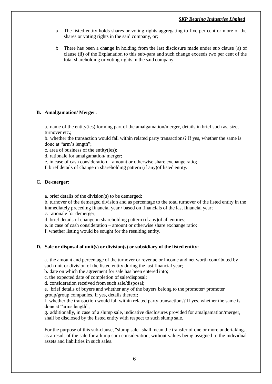- a. The listed entity holds shares or voting rights aggregating to five per cent or more of the shares or voting rights in the said company, or;
- b. There has been a change in holding from the last disclosure made under sub clause (a) of clause (ii) of the Explanation to this sub-para and such change exceeds two per cent of the total shareholding or voting rights in the said company.

### **B. Amalgamation/ Merger:**

a. name of the entity(ies) forming part of the amalgamation/merger, details in brief such as, size, turnover etc.;

b. whether the transaction would fall within related party transactions? If yes, whether the same is done at "arm's length";

c. area of business of the entity(ies);

d. rationale for amalgamation/ merger;

e. in case of cash consideration – amount or otherwise share exchange ratio;

f. brief details of change in shareholding pattern (if any)of listed entity.

#### **C. De-merger:**

a. brief details of the division(s) to be demerged;

b. turnover of the demerged division and as percentage to the total turnover of the listed entity in the immediately preceding financial year / based on financials of the last financial year; c. rationale for demerger;

d. brief details of change in shareholding pattern (if any)of all entities;

e. in case of cash consideration – amount or otherwise share exchange ratio;

f. whether listing would be sought for the resulting entity.

#### **D. Sale or disposal of unit(s) or division(s) or subsidiary of the listed entity:**

a. the amount and percentage of the turnover or revenue or income and net worth contributed by such unit or division of the listed entity during the last financial year;

b. date on which the agreement for sale has been entered into;

c. the expected date of completion of sale/disposal;

d. consideration received from such sale/disposal;

e. brief details of buyers and whether any of the buyers belong to the promoter/ promoter group/group companies. If yes, details thereof;

f. whether the transaction would fall within related party transactions? If yes, whether the same is done at "arms length";

g. additionally, in case of a slump sale, indicative disclosures provided for amalgamation/merger, shall be disclosed by the listed entity with respect to such slump sale.

For the purpose of this sub-clause, "slump sale" shall mean the transfer of one or more undertakings, as a result of the sale for a lump sum consideration, without values being assigned to the individual assets and liabilities in such sales.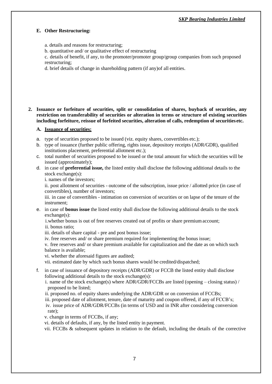## **E. Other Restructuring:**

a. details and reasons for restructuring;

b. quantitative and/ or qualitative effect of restructuring

c. details of benefit, if any, to the promoter/promoter group/group companies from such proposed restructuring;

d. brief details of change in shareholding pattern (if any)of all entities.

**2. Issuance or forfeiture of securities, split or consolidation of shares, buyback of securities, any restriction on transferability of securities or alteration in terms or structure of existing securities including forfeiture, reissue of forfeited securities, alteration of calls, redemption of securities etc.**

## **A. Issuance of securities:**

- a. type of securities proposed to be issued (viz. equity shares, convertibles etc.);
- b. type of issuance (further public offering, rights issue, depository receipts (ADR/GDR), qualified institutions placement, preferential allotment etc.);
- c. total number of securities proposed to be issued or the total amount for which the securities will be issued (approximately);
- d. in case of **preferential issue,** the listed entity shall disclose the following additional details to the stock exchange(s):

i. names of the investors;

ii. post allotment of securities - outcome of the subscription, issue price / allotted price (in case of convertibles), number of investors;

iii. in case of convertibles - intimation on conversion of securities or on lapse of the tenure of the instrument;

e. in case of **bonus issue** the listed entity shall disclose the following additional details to the stock exchange(s):

i.whether bonus is out of free reserves created out of profits or share premiumaccount;

ii. bonus ratio;

- iii. details of share capital pre and post bonus issue;
- iv. free reserves and/ or share premium required for implementing the bonus issue;

v. free reserves and/ or share premium available for capitalization and the date as on which such balance is available;

vi. whether the aforesaid figures are audited;

vii. estimated date by which such bonus shares would be credited/dispatched;

- f. in case of issuance of depository receipts (ADR/GDR) or FCCB the listed entity shall disclose following additional details to the stock exchange(s):
	- i. name of the stock exchange(s) where ADR/GDR/FCCBs are listed (opening closing status) / proposed to be listed;
	- ii. proposed no. of equity shares underlying the ADR/GDR or on conversion of FCCBs;
	- iii. proposed date of allotment, tenure, date of maturity and coupon offered, if any of FCCB's;

iv. issue price of ADR/GDR/FCCBs (in terms of USD and in INR after considering conversion rate);

v. change in terms of FCCBs, if any;

vi. details of defaults, if any, by the listed entity in payment.

vii. FCCBs & subsequent updates in relation to the default, including the details of the corrective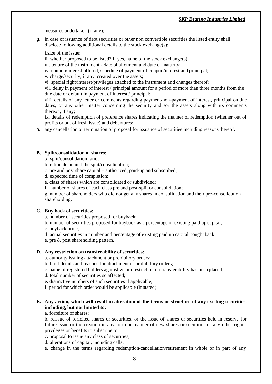measures undertaken (if any);

g. in case of issuance of debt securities or other non convertible securities the listed entity shall disclose following additional details to the stock exchange(s):

i.size of the issue;

ii. whether proposed to be listed? If yes, name of the stock exchange(s);

iii. tenure of the instrument - date of allotment and date of maturity;

iv. coupon/interest offered, schedule of payment of coupon/interest and principal;

v. charge/security, if any, created over the assets;

vi. special right/interest/privileges attached to the instrument and changes thereof;

vii. delay in payment of interest / principal amount for a period of more than three months from the due date or default in payment of interest / principal;

viii. details of any letter or comments regarding payment/non-payment of interest, principal on due dates, or any other matter concerning the security and /or the assets along with its comments thereon, if any;

ix. details of redemption of preference shares indicating the manner of redemption (whether out of profits or out of fresh issue) and debentures;

h. any cancellation or termination of proposal for issuance of securities including reasonsthereof.

#### **B. Split/consolidation of shares:**

- a. split/consolidation ratio;
- b. rationale behind the split/consolidation;
- c. pre and post share capital authorized, paid-up and subscribed;
- d. expected time of completion;
- e. class of shares which are consolidated or subdivided;
- f. number of shares of each class pre and post-split or consolidation;

g. number of shareholders who did not get any shares in consolidation and their pre-consolidation shareholding.

#### **C. Buy back of securities:**

- a. number of securities proposed for buyback;
- b. number of securities proposed for buyback as a percentage of existing paid up capital;
- c. buyback price;
- d. actual securities in number and percentage of existing paid up capital bought back;
- e. pre & post shareholding pattern.

### **D. Any restriction on transferability of securities:**

- a. authority issuing attachment or prohibitory orders;
- b. brief details and reasons for attachment or prohibitory orders;
- c. name of registered holders against whom restriction on transferability has been placed;
- d. total number of securities so affected;
- e. distinctive numbers of such securities if applicable;
- f. period for which order would be applicable (if stated).

#### **E. Any action, which will result in alteration of the terms or structure of any existing securities, including, but not limited to:**

a. forfeiture of shares;

b. reissue of forfeited shares or securities, or the issue of shares or securities held in reserve for future issue or the creation in any form or manner of new shares or securities or any other rights, privileges or benefits to subscribe to;

- c. proposal to issue any class of securities;
- d. alterations of capital, including calls;
- e. change in the terms regarding redemption/cancellation/retirement in whole or in part of any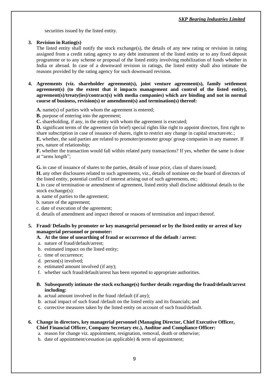securities issued by the listed entity.

#### **3. Revision in Rating(s)**

The listed entity shall notify the stock exchange(s), the details of any new rating or revision in rating assigned from a credit rating agency to any debt instrument of the listed entity or to any fixed deposit programme or to any scheme or proposal of the listed entity involving mobilization of funds whether in India or abroad. In case of a downward revision in ratings, the listed entity shall also intimate the reasons provided by the rating agency for such downward revision.

**4. Agreements (viz. shareholder agreement(s), joint venture agreement(s), family settlement agreement(s) (to the extent that it impacts management and control of the listed entity), agreement(s)/treaty(ies)/contract(s) with media companies) which are binding and not in normal course of business, revision(s) or amendment(s) and termination(s) thereof:**

**A.** name(s) of parties with whom the agreement is entered;

**B.** purpose of entering into the agreement;

**C.** shareholding, if any, in the entity with whom the agreement is executed;

**D.** significant terms of the agreement (in brief) special rights like right to appoint directors, first right to share subscription in case of issuance of shares, right to restrict any change in capital structure etc.;

**E.** whether, the said parties are related to promoter/promoter group/ group companies in any manner. If yes, nature of relationship;

**F.** whether the transaction would fall within related party transactions? If yes, whether the same is done at "arms length";

**G.** in case of issuance of shares to the parties, details of issue price, class of sharesissued;

**H.** any other disclosures related to such agreements, viz., details of nominee on the board of directors of the listed entity, potential conflict of interest arising out of such agreements, etc;

**I.** in case of termination or amendment of agreement, listed entity shall disclose additional details to the stock exchange(s):

a. name of parties to the agreement;

- b. nature of the agreement;
- c. date of execution of the agreement;

d. details of amendment and impact thereof or reasons of termination and impact thereof.

## **5. Fraud/ Defaults by promoter or key managerial personnel or by the listed entity or arrest of key managerial personnel or promoter:**

## **A. At the time of unearthing of fraud or occurrence of the default / arrest:**

- a. nature of fraud/default/arrest;
- b. estimated impact on the listed entity;
- c. time of occurrence;
- d. person(s) involved;
- e. estimated amount involved (if any);
- f. whether such fraud/default/arrest has been reported to appropriate authorities.

#### **B. Subsequently intimate the stock exchange(s) further details regarding the fraud/default/arrest including:**

- a. actual amount involved in the fraud /default (if any);
- b. actual impact of such fraud /default on the listed entity and its financials; and
- c. corrective measures taken by the listed entity on account of such fraud/default.
- **6. Change in directors, key managerial personnel (Managing Director, Chief Executive Officer, Chief Financial Officer, Company Secretary etc.), Auditor and Compliance Officer:**
	- a. reason for change viz. appointment, resignation, removal, death or otherwise;
	- b. date of appointment/cessation (as applicable) & term of appointment;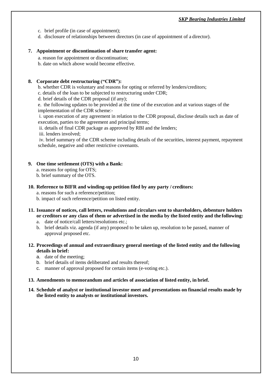- c. brief profile (in case of appointment);
- d. disclosure of relationships between directors (in case of appointment of a director).

#### **7. Appointment or discontinuation of share transfer agent:**

- a. reason for appointment or discontinuation;
- b. date on which above would become effective.

#### **8. Corporate debt restructuring ("CDR"):**

- b. whether CDR is voluntary and reasons for opting or referred by lenders/creditors;
- c. details of the loan to be subjected to restructuring under CDR;
- d. brief details of the CDR proposal (if any);

e. the following updates to be provided at the time of the execution and at various stages of the implementation of the CDR scheme:-

i. upon execution of any agreement in relation to the CDR proposal, disclose details such as date of execution, parties to the agreement and principal terms;

ii. details of final CDR package as approved by RBI and the lenders;

iii. lenders involved;

iv. brief summary of the CDR scheme including details of the securities, interest payment, repayment schedule, negative and other restrictive covenants.

### **9. One time settlement (OTS) with a Bank:**

a. reasons for opting for OTS;

b. brief summary of the OTS.

### **10. Reference to BIFR and winding-up petition filed by any party / creditors:**

a. reasons for such a reference/petition;

b. impact of such reference/petition on listed entity.

- **11. Issuance of notices, call letters, resolutions and circulars sent to shareholders, debenture holders or creditors or any class of them or advertised in the media by the listed entity and the following:**
	- a. date of notice/call letters/resolutions etc.;
	- b. brief details viz. agenda (if any) proposed to be taken up, resolution to be passed, manner of approval proposed etc.

## **12. Proceedings of annual and extraordinary general meetings of the listed entity and the following details in brief:**

- a. date of the meeting;
- b. brief details of items deliberated and results thereof;
- c. manner of approval proposed for certain items (e-voting etc.).
- **13. Amendments to memorandum and articles of association of listed entity, in brief.**

### **14. Schedule of analyst or institutional investor meet and presentations on financial results made by the listed entity to analysts or institutional investors.**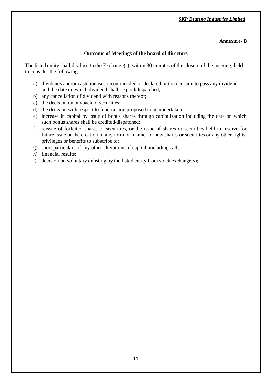## **Annexure- B**

## **Outcome of Meetings of the board of directors**

The listed entity shall disclose to the Exchange(s), within 30 minutes of the closure of the meeting, held to consider the following: -

- a) dividends and/or cash bonuses recommended or declared or the decision to pass any dividend and the date on which dividend shall be paid/dispatched;
- b) any cancellation of dividend with reasons thereof;
- c) the decision on buyback of securities;
- d) the decision with respect to fund raising proposed to be undertaken
- e) increase in capital by issue of bonus shares through capitalization including the date on which such bonus shares shall be credited/dispatched;
- f) reissue of forfeited shares or securities, or the issue of shares or securities held in reserve for future issue or the creation in any form or manner of new shares or securities or any other rights, privileges or benefits to subscribe to;
- g) short particulars of any other alterations of capital, including calls;
- h) financial results;
- i) decision on voluntary delisting by the listed entity from stock exchange(s);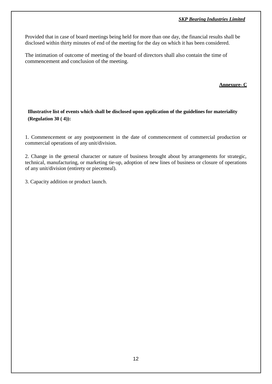Provided that in case of board meetings being held for more than one day, the financial results shall be disclosed within thirty minutes of end of the meeting for the day on which it has been considered.

The intimation of outcome of meeting of the board of directors shall also contain the time of commencement and conclusion of the meeting.

## **Annexure- C**

# **Illustrative list of events which shall be disclosed upon application of the guidelines for materiality (Regulation 30 ( 4)):**

1. Commencement or any postponement in the date of commencement of commercial production or commercial operations of any unit/division.

2. Change in the general character or nature of business brought about by arrangements for strategic, technical, manufacturing, or marketing tie-up, adoption of new lines of business or closure of operations of any unit/division (entirety or piecemeal).

3. Capacity addition or product launch.